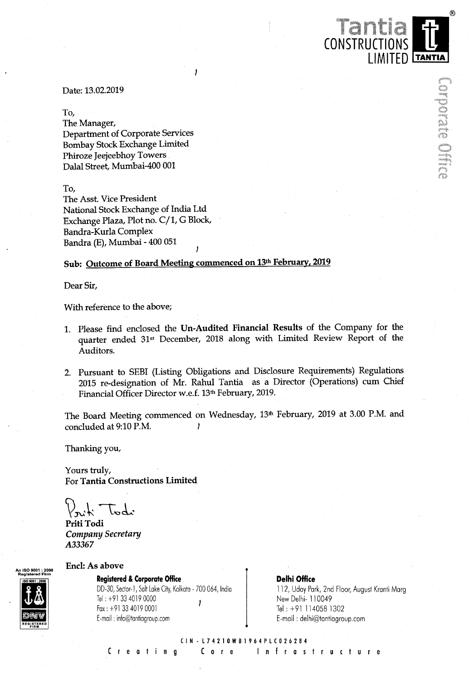Date: 13.02.2019

To,

The Manager, Department of Corporate Services Bombay Stock Exchange Limited Phiroze Ieejeebhoy Towers Dalal Street, Mumbai-400 001

To,

The Asst. Vice President National Stock Exchange of India Ltd Exchange Plaza, Plot no. C/1, G Block, Bandra-Kurla Complex Bandra. (E), Mumbai - 400 051

# Sub: Outcome of Board Meeting commenced on 13th February, 2019

J

Dear Sir,

With reference to the above;

- 1. Please find enclosed the Un-Audited Financial Results of the Company for the quarter ended 31st December, <sup>2018</sup> along with Limited Review Report of the Auditors.
- 2. Pursuant to SEBI (Listing Obligations and Disclosure Requirements) Regulations <sup>2015</sup> re-designation of Mr. Rahul Tantia as <sup>a</sup> Director (Operations) cum Chief Financial Officer Director w.e.f. 13<sup>th</sup> February, 2019.

The Board Meeting commenced on Wednesday, 13<sup>th</sup> February, 2019 at 3.00 P.M. and concluded at 9:10 P.M.

Thanking you,

Yours truly, For Tantia Constructions Limited

 $\sqrt[3]{x^4 + 4x^3}$ 

Priti Todi Company Secretary A33367



Encl: As above

Registered & Corporate Office **Delhi Office** Delhi Office DD-30, Sector-1, Salt Lake City, Kolkata - 700 064, India Tel: +91 33 4019 0000 , Fox: +9l 33 4019 0001 Tel: +91 1140581302 E-moil : into@tantiogroup.com E-mail : delh1@tontiogroup.com

112, Uday Park, 2nd Floor, August Kranti Marg New Delhi- 110049

 $^{\circ}$ 

LIMITED TANTIA

CONSTRUCTIO

CIN-L74210WBI964PLC026284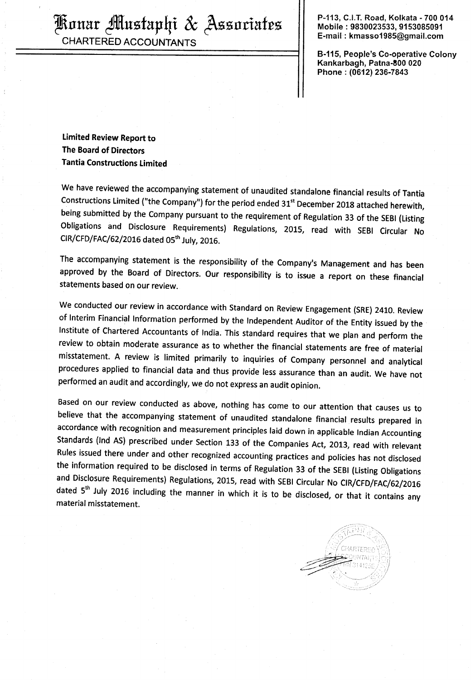CHARTERED ACCOUNTANTS

P-113, C.l.T. Road, Kolkata - 700 014 ERIIIIEII' fitnefzxphi <sup>85</sup> (Azfinfiafm Mobilez9830023533, <sup>9153085091</sup>

> . B-115, People's Co-operatlve Colony Kankarbagh, Patna-800 020 Phone : (0612) 236-7843

Limited Review Report to The Board of Directors Tantia Constructions Limited

We have reviewed the accompanying statement of unaudited standalone financial results of Tantia Constructions Limited ("the Company") for the period ended 31<sup>st</sup> December 2018 attached herewith, being submitted by the Company pursuant to the requirement of Regulation <sup>33</sup> of the SEBI (Listing Obligations and Disclosure Requirements) Regulations, 2015, read with SEBI Circular No CIR/CFD/FAC/62/2016 dated 05<sup>th</sup> July, 2016.

The accompanying statement is the responsibility of the Company's Management and has been approved by the Board of Directors. Our responsibility is to issue <sup>a</sup> report on these financial statements based on our review.

We conducted our review in accordance with Standard on Review Engagement (SRE) 2410. Review of Interim Financial Information performed by the Independent Auditor of the Entity issued by the Institute of Chartered Accountants of India. This standard requires that we plan and perform the review to obtain moderate assurance as to whether the financial statements are free of material misstatement. <sup>A</sup> review is limited primarily to inquiries of Company personnel and analytical procedures applied to financial data and thus provide less assurance than an audit. We have not performed an audit and accordingly, we do not express an audit opinion.

Based on our review conducted as above, nothing has come to our attention that causes us to believe that the accompanying statement of unaudited standalone financial results prepared in accordance with recognition and measurement principles laid down in applicable Indian Accounting Standards (Ind AS) prescribed under Section <sup>133</sup> of the Companies Act, 2013, read with relevant Rules issued there under and other recognized accounting practices and policies has not disclosed the information required to be disclosed in terms of Regulation <sup>33</sup> of the SEBI (Listing Obligations and Disclosure Requirements) Regulations, 2015, read with SEBI Circular No ClR/CFD/FAC/62/2016 dated  $5<sup>th</sup>$  July 2016 including the manner in which it is to be disclosed, or that it contains any material misstatement.

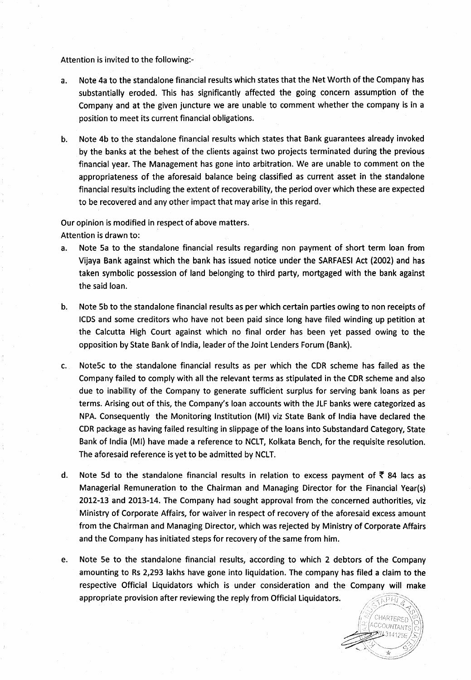### Attention is invited to the following:-

- Note 4a to the standalone financial results which states that the Net Worth of the Company has  $a.$ substantially eroded. This has significantly affected the going concern assumption of the Company and at the given juncture we are unable to comment whether the company is in <sup>a</sup> position to meet its current financial obligations.
- b. Note 4b to the standalone financial results which states that Bank guarantees already invoked by the banks at the behest of the clients against two projects terminated during the previous financial year. The Management has gone into arbitration. We are unable to comment on the appropriateness of the aforesaid balance being classified as current asset in the standalone financial results including the extent of recoverability, the period over which these are expected to be recovered and any other impact that may arise in this regard.

#### Our opinion is modified in respect of above matters.

Attention is drawn to:

- a. Note 5a to the standalone financial results regarding non payment of short term loan from Vijaya Bank against which the bank has issued notice under the SARFAESI Act (2002) and has taken symbolic possession of land belonging to third party, mortgaged with the bank against the said loan.
- $\mathbf b$ . Note 5b to the standalone financial results as per which certain parties owing to non receipts of ICDS and some creditors who have not been paid since long have filed winding up petition at the Calcutta High Court against which no final order has been yet passed owing to the opposition by State Bank of India, leader of the Joint Lenders Forum (Bank).
- Note5c to the standalone financial results as per which the CDR scheme has failed as the  $C_{\star}$ . Company failed to comply with all the relevant terms as stipulated in the CDR scheme and also due to inability of the Company to generate sufficient surplus for serving bank loans as per terms. Arising out of this, the Company's loan accounts with the JLF banks were categorized as NPA. Consequently the Monitoring Institution (Ml) viz State Bank of India have declared the CDR package as having failed resulting in slippage of the loans into Substandard Category, State Bank of India (Ml) have made <sup>a</sup> reference to NCLT, Kolkata Bench, for the requisite resolution. The aforesaid reference is yet to be admitted by NCLT.
- d. Note 5d to the standalone financial results in relation to excess payment of  $\bar{\xi}$  84 lacs as Managerial Remuneration to the Chairman and Managing Director for the Financial Year(s) 2012-13 and 2013-14. The Company had sought approval from the concerned authorities, viz Ministry of Corporate Affairs, for waiver in respect of recovery of the aforesaid excess amount from the Chairman and Managing Director, which was rejected by Ministry of Corporate Affairs and the Company has initiated steps for recovery of the same from him.
- e. Note Be to the standalone financial results, according to which <sup>2</sup> debtors of the Company amounting to Rs 2,293 lakhs have gone into liquidation. The company has filed <sup>a</sup> claim to the respective Official Liquidators which is under consideration and the Company will make appropriate provision after reviewing the reply from Official Liquidators. $\widehat{RPHI}$

CHARTERED COUNTANTS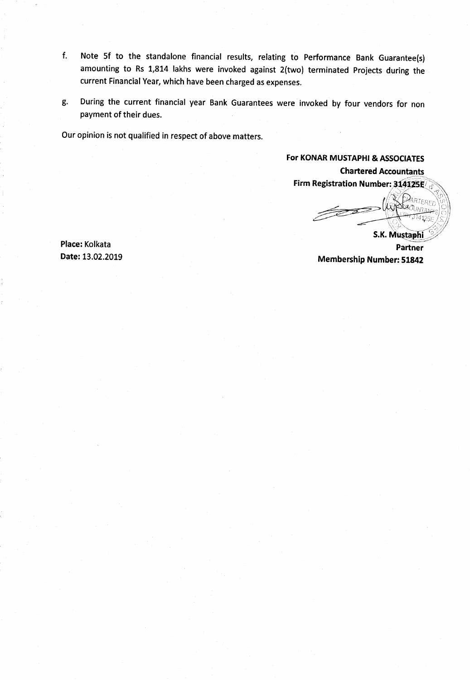- f. Note 5f to the standalone financial results, relating to Performance Bank Guarantee(s) amounting to Rs 1,814 lakhs were invoked against 2(two) terminated Projects during the current Financial Year, which have been charged as expenses.
- g. During the current financial year Bank Guarantees were invoked by four vendors for non payment of their dues.

Our opinion is not qualified in respect of above matters.

For KONAR MUSTAPHI & ASSOCIATES Chartered Accountants Firm Registration Number: 314125E

\_.-  $\searrow$ 

S.K. Mustaphi<sub>,</sub> Place: Kolkata Partner Date: 13.02.2019 Membership Number: <sup>51842</sup>